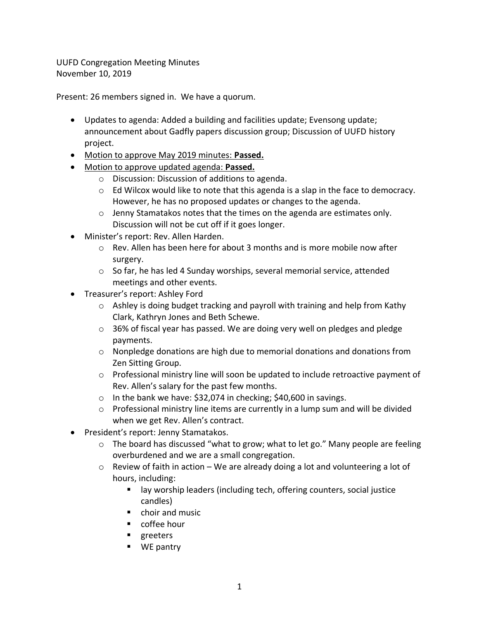UUFD Congregation Meeting Minutes November 10, 2019

Present: 26 members signed in. We have a quorum.

- Updates to agenda: Added a building and facilities update; Evensong update; announcement about Gadfly papers discussion group; Discussion of UUFD history project.
- Motion to approve May 2019 minutes: **Passed.**
- Motion to approve updated agenda: **Passed.**
	- o Discussion: Discussion of additions to agenda.
	- $\circ$  Ed Wilcox would like to note that this agenda is a slap in the face to democracy. However, he has no proposed updates or changes to the agenda.
	- $\circ$  Jenny Stamatakos notes that the times on the agenda are estimates only. Discussion will not be cut off if it goes longer.
- Minister's report: Rev. Allen Harden.
	- $\circ$  Rev. Allen has been here for about 3 months and is more mobile now after surgery.
	- o So far, he has led 4 Sunday worships, several memorial service, attended meetings and other events.
- Treasurer's report: Ashley Ford
	- o Ashley is doing budget tracking and payroll with training and help from Kathy Clark, Kathryn Jones and Beth Schewe.
	- $\circ$  36% of fiscal year has passed. We are doing very well on pledges and pledge payments.
	- $\circ$  Nonpledge donations are high due to memorial donations and donations from Zen Sitting Group.
	- o Professional ministry line will soon be updated to include retroactive payment of Rev. Allen's salary for the past few months.
	- $\circ$  In the bank we have: \$32,074 in checking; \$40,600 in savings.
	- o Professional ministry line items are currently in a lump sum and will be divided when we get Rev. Allen's contract.
- President's report: Jenny Stamatakos.
	- $\circ$  The board has discussed "what to grow; what to let go." Many people are feeling overburdened and we are a small congregation.
	- o Review of faith in action We are already doing a lot and volunteering a lot of hours, including:
		- lay worship leaders (including tech, offering counters, social justice candles)
		- choir and music
		- coffee hour
		- greeters
		- WE pantry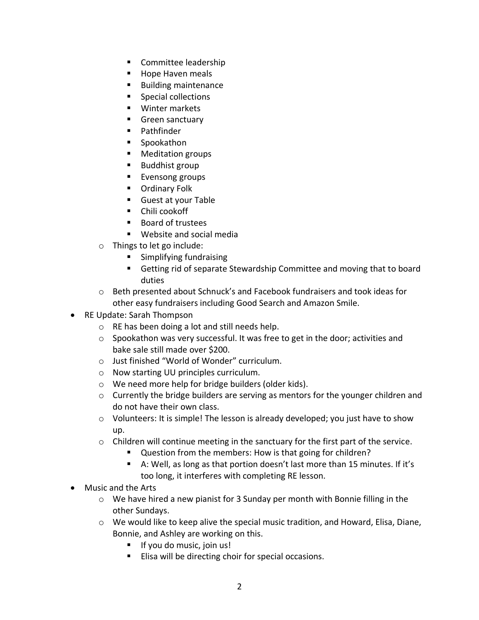- Committee leadership
- Hope Haven meals
- **Building maintenance**
- Special collections
- Winter markets
- Green sanctuary
- Pathfinder
- Spookathon
- Meditation groups
- Buddhist group
- Evensong groups
- Ordinary Folk
- Guest at your Table
- Chili cookoff
- Board of trustees
- Website and social media
- o Things to let go include:
	- Simplifying fundraising
	- Getting rid of separate Stewardship Committee and moving that to board duties
- o Beth presented about Schnuck's and Facebook fundraisers and took ideas for other easy fundraisers including Good Search and Amazon Smile.
- RE Update: Sarah Thompson
	- o RE has been doing a lot and still needs help.
	- $\circ$  Spookathon was very successful. It was free to get in the door; activities and bake sale still made over \$200.
	- o Just finished "World of Wonder" curriculum.
	- o Now starting UU principles curriculum.
	- o We need more help for bridge builders (older kids).
	- o Currently the bridge builders are serving as mentors for the younger children and do not have their own class.
	- $\circ$  Volunteers: It is simple! The lesson is already developed; you just have to show up.
	- $\circ$  Children will continue meeting in the sanctuary for the first part of the service.
		- Question from the members: How is that going for children?
		- A: Well, as long as that portion doesn't last more than 15 minutes. If it's too long, it interferes with completing RE lesson.
- Music and the Arts
	- o We have hired a new pianist for 3 Sunday per month with Bonnie filling in the other Sundays.
	- $\circ$  We would like to keep alive the special music tradition, and Howard, Elisa, Diane, Bonnie, and Ashley are working on this.
		- If you do music, join us!
		- Elisa will be directing choir for special occasions.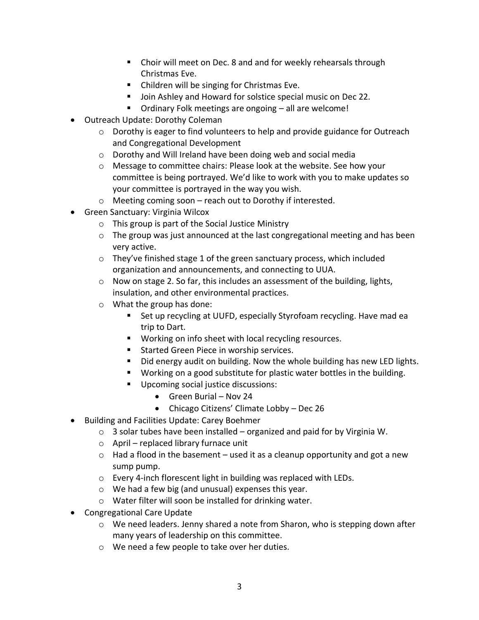- Choir will meet on Dec. 8 and and for weekly rehearsals through Christmas Eve.
- Children will be singing for Christmas Eve.
- Join Ashley and Howard for solstice special music on Dec 22.
- Ordinary Folk meetings are ongoing all are welcome!
- Outreach Update: Dorothy Coleman
	- $\circ$  Dorothy is eager to find volunteers to help and provide guidance for Outreach and Congregational Development
	- o Dorothy and Will Ireland have been doing web and social media
	- o Message to committee chairs: Please look at the website. See how your committee is being portrayed. We'd like to work with you to make updates so your committee is portrayed in the way you wish.
	- o Meeting coming soon reach out to Dorothy if interested.
- Green Sanctuary: Virginia Wilcox
	- o This group is part of the Social Justice Ministry
	- $\circ$  The group was just announced at the last congregational meeting and has been very active.
	- o They've finished stage 1 of the green sanctuary process, which included organization and announcements, and connecting to UUA.
	- $\circ$  Now on stage 2. So far, this includes an assessment of the building, lights, insulation, and other environmental practices.
	- o What the group has done:
		- Set up recycling at UUFD, especially Styrofoam recycling. Have mad ea trip to Dart.
		- Working on info sheet with local recycling resources.
		- Started Green Piece in worship services.
		- Did energy audit on building. Now the whole building has new LED lights.
		- Working on a good substitute for plastic water bottles in the building.
		- Upcoming social justice discussions:
			- Green Burial Nov 24
			- Chicago Citizens' Climate Lobby Dec 26
- Building and Facilities Update: Carey Boehmer
	- $\circ$  3 solar tubes have been installed organized and paid for by Virginia W.
	- o April replaced library furnace unit
	- $\circ$  Had a flood in the basement used it as a cleanup opportunity and got a new sump pump.
	- o Every 4-inch florescent light in building was replaced with LEDs.
	- o We had a few big (and unusual) expenses this year.
	- o Water filter will soon be installed for drinking water.
- Congregational Care Update
	- o We need leaders. Jenny shared a note from Sharon, who is stepping down after many years of leadership on this committee.
	- o We need a few people to take over her duties.